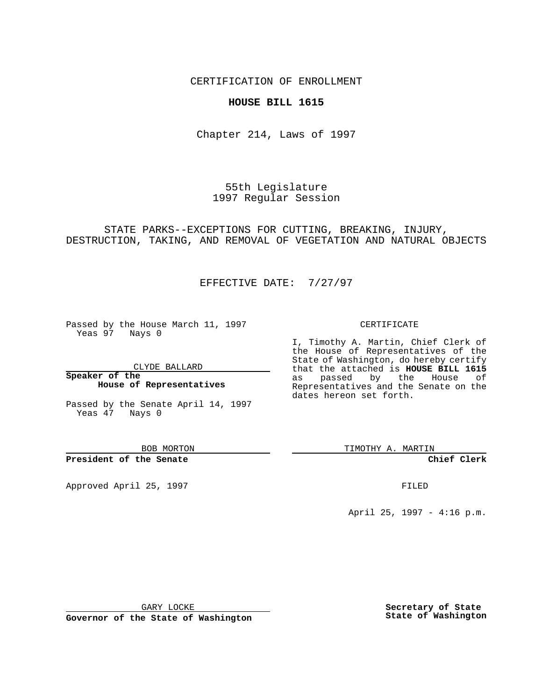CERTIFICATION OF ENROLLMENT

## **HOUSE BILL 1615**

Chapter 214, Laws of 1997

55th Legislature 1997 Regular Session

STATE PARKS--EXCEPTIONS FOR CUTTING, BREAKING, INJURY, DESTRUCTION, TAKING, AND REMOVAL OF VEGETATION AND NATURAL OBJECTS

EFFECTIVE DATE: 7/27/97

Passed by the House March 11, 1997 Yeas 97 Nays 0

CLYDE BALLARD

**Speaker of the House of Representatives**

Passed by the Senate April 14, 1997

TIMOTHY A. MARTIN

**Chief Clerk**

Approved April 25, 1997 **FILED** 

April 25, 1997 - 4:16 p.m.

GARY LOCKE

**Governor of the State of Washington**

**Secretary of State State of Washington**

I, Timothy A. Martin, Chief Clerk of the House of Representatives of the State of Washington, do hereby certify that the attached is **HOUSE BILL 1615** as passed by the House of Representatives and the Senate on the dates hereon set forth.

CERTIFICATE

Yeas 47 Nays 0

BOB MORTON

## **President of the Senate**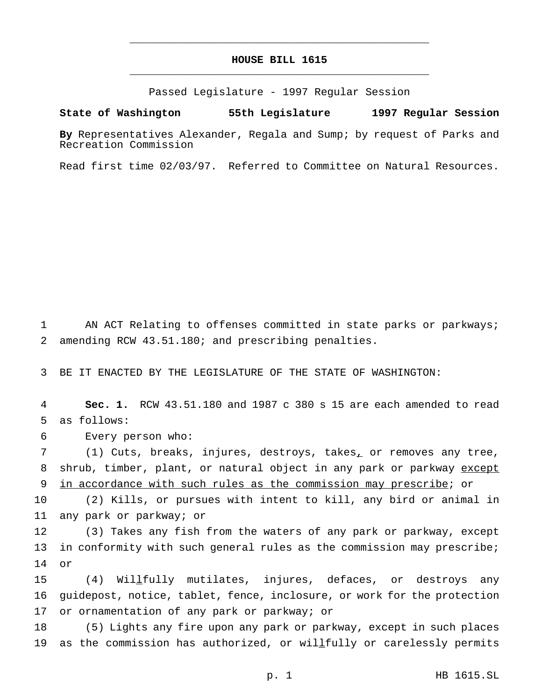## **HOUSE BILL 1615** \_\_\_\_\_\_\_\_\_\_\_\_\_\_\_\_\_\_\_\_\_\_\_\_\_\_\_\_\_\_\_\_\_\_\_\_\_\_\_\_\_\_\_\_\_\_\_

\_\_\_\_\_\_\_\_\_\_\_\_\_\_\_\_\_\_\_\_\_\_\_\_\_\_\_\_\_\_\_\_\_\_\_\_\_\_\_\_\_\_\_\_\_\_\_

Passed Legislature - 1997 Regular Session

## **State of Washington 55th Legislature 1997 Regular Session**

**By** Representatives Alexander, Regala and Sump; by request of Parks and Recreation Commission

Read first time 02/03/97. Referred to Committee on Natural Resources.

1 AN ACT Relating to offenses committed in state parks or parkways; 2 amending RCW 43.51.180; and prescribing penalties.

3 BE IT ENACTED BY THE LEGISLATURE OF THE STATE OF WASHINGTON:

4 **Sec. 1.** RCW 43.51.180 and 1987 c 380 s 15 are each amended to read 5 as follows:

6 Every person who:

7 (1) Cuts, breaks, injures, destroys, takes, or removes any tree, 8 shrub, timber, plant, or natural object in any park or parkway except 9 in accordance with such rules as the commission may prescribe; or

10 (2) Kills, or pursues with intent to kill, any bird or animal in 11 any park or parkway; or

12 (3) Takes any fish from the waters of any park or parkway, except 13 in conformity with such general rules as the commission may prescribe; 14 or

15 (4) Willfully mutilates, injures, defaces, or destroys any 16 guidepost, notice, tablet, fence, inclosure, or work for the protection 17 or ornamentation of any park or parkway; or

18 (5) Lights any fire upon any park or parkway, except in such places 19 as the commission has authorized, or willfully or carelessly permits